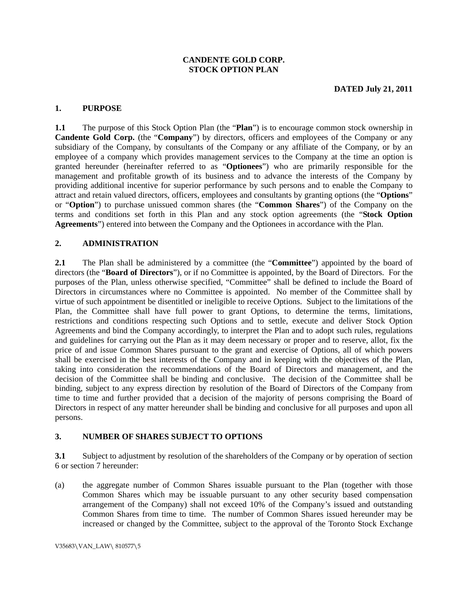#### **CANDENTE GOLD CORP. STOCK OPTION PLAN**

#### **1. PURPOSE**

**1.1** The purpose of this Stock Option Plan (the "**Plan**") is to encourage common stock ownership in **Candente Gold Corp.** (the "**Company**") by directors, officers and employees of the Company or any subsidiary of the Company, by consultants of the Company or any affiliate of the Company, or by an employee of a company which provides management services to the Company at the time an option is granted hereunder (hereinafter referred to as "**Optionees**") who are primarily responsible for the management and profitable growth of its business and to advance the interests of the Company by providing additional incentive for superior performance by such persons and to enable the Company to attract and retain valued directors, officers, employees and consultants by granting options (the "**Options**" or "**Option**") to purchase unissued common shares (the "**Common Shares**") of the Company on the terms and conditions set forth in this Plan and any stock option agreements (the "**Stock Option Agreements**") entered into between the Company and the Optionees in accordance with the Plan.

### **2. ADMINISTRATION**

**2.1** The Plan shall be administered by a committee (the "**Committee**") appointed by the board of directors (the "**Board of Directors**"), or if no Committee is appointed, by the Board of Directors. For the purposes of the Plan, unless otherwise specified, "Committee" shall be defined to include the Board of Directors in circumstances where no Committee is appointed. No member of the Committee shall by virtue of such appointment be disentitled or ineligible to receive Options. Subject to the limitations of the Plan, the Committee shall have full power to grant Options, to determine the terms, limitations, restrictions and conditions respecting such Options and to settle, execute and deliver Stock Option Agreements and bind the Company accordingly, to interpret the Plan and to adopt such rules, regulations and guidelines for carrying out the Plan as it may deem necessary or proper and to reserve, allot, fix the price of and issue Common Shares pursuant to the grant and exercise of Options, all of which powers shall be exercised in the best interests of the Company and in keeping with the objectives of the Plan, taking into consideration the recommendations of the Board of Directors and management, and the decision of the Committee shall be binding and conclusive. The decision of the Committee shall be binding, subject to any express direction by resolution of the Board of Directors of the Company from time to time and further provided that a decision of the majority of persons comprising the Board of Directors in respect of any matter hereunder shall be binding and conclusive for all purposes and upon all persons.

### **3. NUMBER OF SHARES SUBJECT TO OPTIONS**

**3.1** Subject to adjustment by resolution of the shareholders of the Company or by operation of section 6 or section 7 hereunder:

(a) the aggregate number of Common Shares issuable pursuant to the Plan (together with those Common Shares which may be issuable pursuant to any other security based compensation arrangement of the Company) shall not exceed 10% of the Company's issued and outstanding Common Shares from time to time. The number of Common Shares issued hereunder may be increased or changed by the Committee, subject to the approval of the Toronto Stock Exchange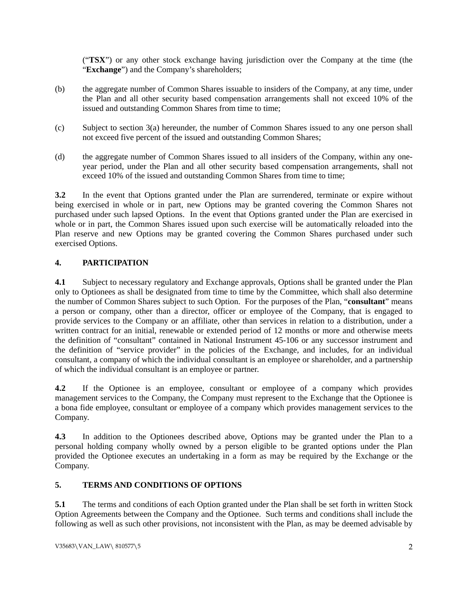("**TSX**") or any other stock exchange having jurisdiction over the Company at the time (the "**Exchange**") and the Company's shareholders;

- (b) the aggregate number of Common Shares issuable to insiders of the Company, at any time, under the Plan and all other security based compensation arrangements shall not exceed 10% of the issued and outstanding Common Shares from time to time;
- (c) Subject to section 3(a) hereunder, the number of Common Shares issued to any one person shall not exceed five percent of the issued and outstanding Common Shares;
- (d) the aggregate number of Common Shares issued to all insiders of the Company, within any oneyear period, under the Plan and all other security based compensation arrangements, shall not exceed 10% of the issued and outstanding Common Shares from time to time;

**3.2** In the event that Options granted under the Plan are surrendered, terminate or expire without being exercised in whole or in part, new Options may be granted covering the Common Shares not purchased under such lapsed Options. In the event that Options granted under the Plan are exercised in whole or in part, the Common Shares issued upon such exercise will be automatically reloaded into the Plan reserve and new Options may be granted covering the Common Shares purchased under such exercised Options.

# **4. PARTICIPATION**

**4.1** Subject to necessary regulatory and Exchange approvals, Options shall be granted under the Plan only to Optionees as shall be designated from time to time by the Committee, which shall also determine the number of Common Shares subject to such Option. For the purposes of the Plan, "**consultant**" means a person or company, other than a director, officer or employee of the Company, that is engaged to provide services to the Company or an affiliate, other than services in relation to a distribution, under a written contract for an initial, renewable or extended period of 12 months or more and otherwise meets the definition of "consultant" contained in National Instrument 45-106 or any successor instrument and the definition of "service provider" in the policies of the Exchange, and includes, for an individual consultant, a company of which the individual consultant is an employee or shareholder, and a partnership of which the individual consultant is an employee or partner.

**4.2** If the Optionee is an employee, consultant or employee of a company which provides management services to the Company, the Company must represent to the Exchange that the Optionee is a bona fide employee, consultant or employee of a company which provides management services to the Company.

**4.3** In addition to the Optionees described above, Options may be granted under the Plan to a personal holding company wholly owned by a person eligible to be granted options under the Plan provided the Optionee executes an undertaking in a form as may be required by the Exchange or the Company.

# **5. TERMS AND CONDITIONS OF OPTIONS**

**5.1** The terms and conditions of each Option granted under the Plan shall be set forth in written Stock Option Agreements between the Company and the Optionee. Such terms and conditions shall include the following as well as such other provisions, not inconsistent with the Plan, as may be deemed advisable by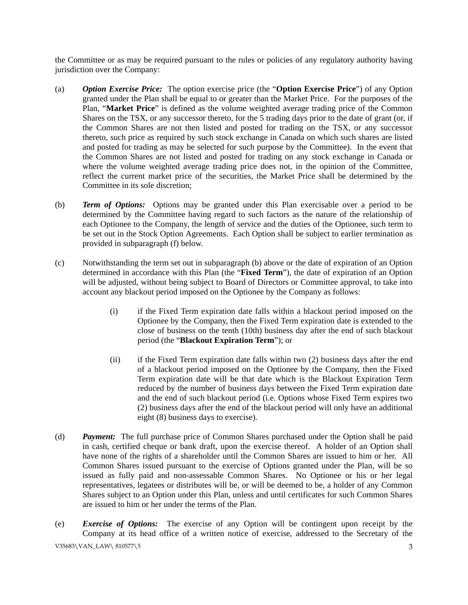the Committee or as may be required pursuant to the rules or policies of any regulatory authority having jurisdiction over the Company:

- (a) *Option Exercise Price:* The option exercise price (the "**Option Exercise Price**") of any Option granted under the Plan shall be equal to or greater than the Market Price. For the purposes of the Plan, "**Market Price**" is defined as the volume weighted average trading price of the Common Shares on the TSX, or any successor thereto, for the 5 trading days prior to the date of grant (or, if the Common Shares are not then listed and posted for trading on the TSX, or any successor thereto, such price as required by such stock exchange in Canada on which such shares are listed and posted for trading as may be selected for such purpose by the Committee). In the event that the Common Shares are not listed and posted for trading on any stock exchange in Canada or where the volume weighted average trading price does not, in the opinion of the Committee, reflect the current market price of the securities, the Market Price shall be determined by the Committee in its sole discretion;
- (b) *Term of Options:* Options may be granted under this Plan exercisable over a period to be determined by the Committee having regard to such factors as the nature of the relationship of each Optionee to the Company, the length of service and the duties of the Optionee, such term to be set out in the Stock Option Agreements. Each Option shall be subject to earlier termination as provided in subparagraph (f) below.
- (c) Notwithstanding the term set out in subparagraph (b) above or the date of expiration of an Option determined in accordance with this Plan (the "**Fixed Term**"), the date of expiration of an Option will be adjusted, without being subject to Board of Directors or Committee approval, to take into account any blackout period imposed on the Optionee by the Company as follows:
	- (i) if the Fixed Term expiration date falls within a blackout period imposed on the Optionee by the Company, then the Fixed Term expiration date is extended to the close of business on the tenth (10th) business day after the end of such blackout period (the "**Blackout Expiration Term**"); or
	- (ii) if the Fixed Term expiration date falls within two (2) business days after the end of a blackout period imposed on the Optionee by the Company, then the Fixed Term expiration date will be that date which is the Blackout Expiration Term reduced by the number of business days between the Fixed Term expiration date and the end of such blackout period (i.e. Options whose Fixed Term expires two (2) business days after the end of the blackout period will only have an additional eight (8) business days to exercise).
- (d) *Payment:* The full purchase price of Common Shares purchased under the Option shall be paid in cash, certified cheque or bank draft, upon the exercise thereof. A holder of an Option shall have none of the rights of a shareholder until the Common Shares are issued to him or her. All Common Shares issued pursuant to the exercise of Options granted under the Plan, will be so issued as fully paid and non-assessable Common Shares. No Optionee or his or her legal representatives, legatees or distributes will be, or will be deemed to be, a holder of any Common Shares subject to an Option under this Plan, unless and until certificates for such Common Shares are issued to him or her under the terms of the Plan.
- V35683\VAN\_LAW\ 810577\5 3 (e) *Exercise of Options:* The exercise of any Option will be contingent upon receipt by the Company at its head office of a written notice of exercise, addressed to the Secretary of the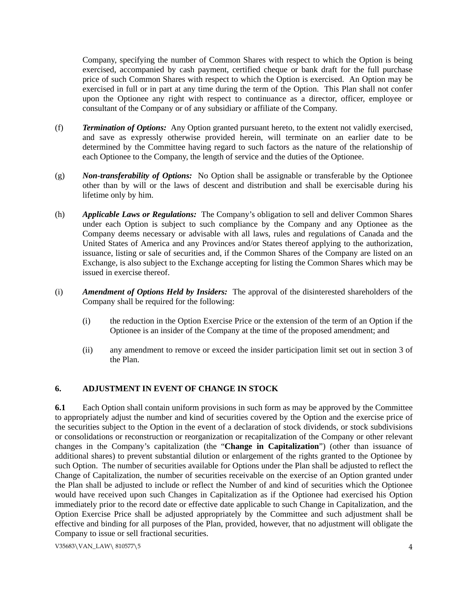Company, specifying the number of Common Shares with respect to which the Option is being exercised, accompanied by cash payment, certified cheque or bank draft for the full purchase price of such Common Shares with respect to which the Option is exercised. An Option may be exercised in full or in part at any time during the term of the Option. This Plan shall not confer upon the Optionee any right with respect to continuance as a director, officer, employee or consultant of the Company or of any subsidiary or affiliate of the Company.

- (f) *Termination of Options:* Any Option granted pursuant hereto, to the extent not validly exercised, and save as expressly otherwise provided herein, will terminate on an earlier date to be determined by the Committee having regard to such factors as the nature of the relationship of each Optionee to the Company, the length of service and the duties of the Optionee.
- (g) *Non-transferability of Options:* No Option shall be assignable or transferable by the Optionee other than by will or the laws of descent and distribution and shall be exercisable during his lifetime only by him.
- (h) *Applicable Laws or Regulations:* The Company's obligation to sell and deliver Common Shares under each Option is subject to such compliance by the Company and any Optionee as the Company deems necessary or advisable with all laws, rules and regulations of Canada and the United States of America and any Provinces and/or States thereof applying to the authorization, issuance, listing or sale of securities and, if the Common Shares of the Company are listed on an Exchange, is also subject to the Exchange accepting for listing the Common Shares which may be issued in exercise thereof.
- (i) *Amendment of Options Held by Insiders:* The approval of the disinterested shareholders of the Company shall be required for the following:
	- (i) the reduction in the Option Exercise Price or the extension of the term of an Option if the Optionee is an insider of the Company at the time of the proposed amendment; and
	- (ii) any amendment to remove or exceed the insider participation limit set out in section 3 of the Plan.

# **6. ADJUSTMENT IN EVENT OF CHANGE IN STOCK**

**6.1** Each Option shall contain uniform provisions in such form as may be approved by the Committee to appropriately adjust the number and kind of securities covered by the Option and the exercise price of the securities subject to the Option in the event of a declaration of stock dividends, or stock subdivisions or consolidations or reconstruction or reorganization or recapitalization of the Company or other relevant changes in the Company's capitalization (the "**Change in Capitalization**") (other than issuance of additional shares) to prevent substantial dilution or enlargement of the rights granted to the Optionee by such Option. The number of securities available for Options under the Plan shall be adjusted to reflect the Change of Capitalization, the number of securities receivable on the exercise of an Option granted under the Plan shall be adjusted to include or reflect the Number of and kind of securities which the Optionee would have received upon such Changes in Capitalization as if the Optionee had exercised his Option immediately prior to the record date or effective date applicable to such Change in Capitalization, and the Option Exercise Price shall be adjusted appropriately by the Committee and such adjustment shall be effective and binding for all purposes of the Plan, provided, however, that no adjustment will obligate the Company to issue or sell fractional securities.

V35683\VAN\_LAW\ 810577\5 4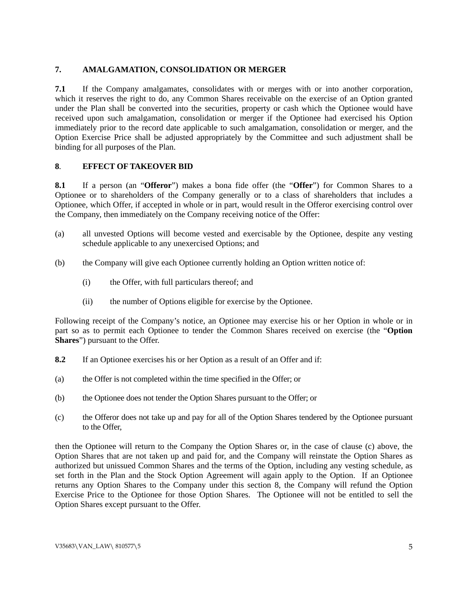### **7. AMALGAMATION, CONSOLIDATION OR MERGER**

**7.1** If the Company amalgamates, consolidates with or merges with or into another corporation, which it reserves the right to do, any Common Shares receivable on the exercise of an Option granted under the Plan shall be converted into the securities, property or cash which the Optionee would have received upon such amalgamation, consolidation or merger if the Optionee had exercised his Option immediately prior to the record date applicable to such amalgamation, consolidation or merger, and the Option Exercise Price shall be adjusted appropriately by the Committee and such adjustment shall be binding for all purposes of the Plan.

### **8**. **EFFECT OF TAKEOVER BID**

**8.1** If a person (an "**Offeror**") makes a bona fide offer (the "**Offer**") for Common Shares to a Optionee or to shareholders of the Company generally or to a class of shareholders that includes a Optionee, which Offer, if accepted in whole or in part, would result in the Offeror exercising control over the Company, then immediately on the Company receiving notice of the Offer:

- (a) all unvested Options will become vested and exercisable by the Optionee, despite any vesting schedule applicable to any unexercised Options; and
- (b) the Company will give each Optionee currently holding an Option written notice of:
	- (i) the Offer, with full particulars thereof; and
	- (ii) the number of Options eligible for exercise by the Optionee.

Following receipt of the Company's notice, an Optionee may exercise his or her Option in whole or in part so as to permit each Optionee to tender the Common Shares received on exercise (the "**Option Shares**") pursuant to the Offer.

- **8.2** If an Optionee exercises his or her Option as a result of an Offer and if:
- (a) the Offer is not completed within the time specified in the Offer; or
- (b) the Optionee does not tender the Option Shares pursuant to the Offer; or
- (c) the Offeror does not take up and pay for all of the Option Shares tendered by the Optionee pursuant to the Offer,

then the Optionee will return to the Company the Option Shares or, in the case of clause (c) above, the Option Shares that are not taken up and paid for, and the Company will reinstate the Option Shares as authorized but unissued Common Shares and the terms of the Option, including any vesting schedule, as set forth in the Plan and the Stock Option Agreement will again apply to the Option. If an Optionee returns any Option Shares to the Company under this section 8, the Company will refund the Option Exercise Price to the Optionee for those Option Shares. The Optionee will not be entitled to sell the Option Shares except pursuant to the Offer.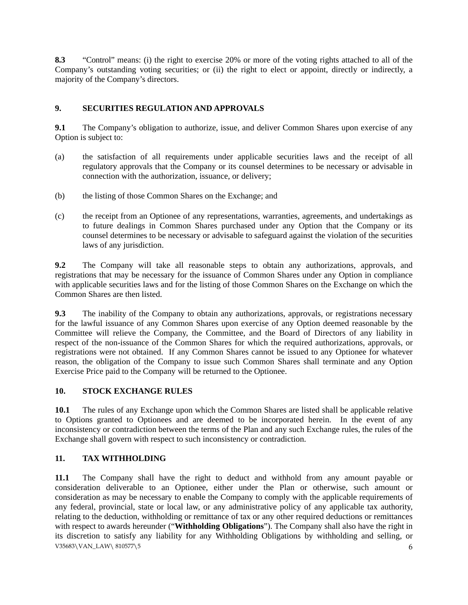**8.3** "Control" means: (i) the right to exercise 20% or more of the voting rights attached to all of the Company's outstanding voting securities; or (ii) the right to elect or appoint, directly or indirectly, a majority of the Company's directors.

# **9. SECURITIES REGULATION AND APPROVALS**

**9.1** The Company's obligation to authorize, issue, and deliver Common Shares upon exercise of any Option is subject to:

- (a) the satisfaction of all requirements under applicable securities laws and the receipt of all regulatory approvals that the Company or its counsel determines to be necessary or advisable in connection with the authorization, issuance, or delivery;
- (b) the listing of those Common Shares on the Exchange; and
- (c) the receipt from an Optionee of any representations, warranties, agreements, and undertakings as to future dealings in Common Shares purchased under any Option that the Company or its counsel determines to be necessary or advisable to safeguard against the violation of the securities laws of any jurisdiction.

**9.2** The Company will take all reasonable steps to obtain any authorizations, approvals, and registrations that may be necessary for the issuance of Common Shares under any Option in compliance with applicable securities laws and for the listing of those Common Shares on the Exchange on which the Common Shares are then listed.

**9.3** The inability of the Company to obtain any authorizations, approvals, or registrations necessary for the lawful issuance of any Common Shares upon exercise of any Option deemed reasonable by the Committee will relieve the Company, the Committee, and the Board of Directors of any liability in respect of the non-issuance of the Common Shares for which the required authorizations, approvals, or registrations were not obtained. If any Common Shares cannot be issued to any Optionee for whatever reason, the obligation of the Company to issue such Common Shares shall terminate and any Option Exercise Price paid to the Company will be returned to the Optionee.

# **10. STOCK EXCHANGE RULES**

**10.1** The rules of any Exchange upon which the Common Shares are listed shall be applicable relative to Options granted to Optionees and are deemed to be incorporated herein. In the event of any inconsistency or contradiction between the terms of the Plan and any such Exchange rules, the rules of the Exchange shall govern with respect to such inconsistency or contradiction.

# **11. TAX WITHHOLDING**

V35683\VAN\_LAW\ 810577\5 6 **11.1** The Company shall have the right to deduct and withhold from any amount payable or consideration deliverable to an Optionee, either under the Plan or otherwise, such amount or consideration as may be necessary to enable the Company to comply with the applicable requirements of any federal, provincial, state or local law, or any administrative policy of any applicable tax authority, relating to the deduction, withholding or remittance of tax or any other required deductions or remittances with respect to awards hereunder ("**Withholding Obligations**"). The Company shall also have the right in its discretion to satisfy any liability for any Withholding Obligations by withholding and selling, or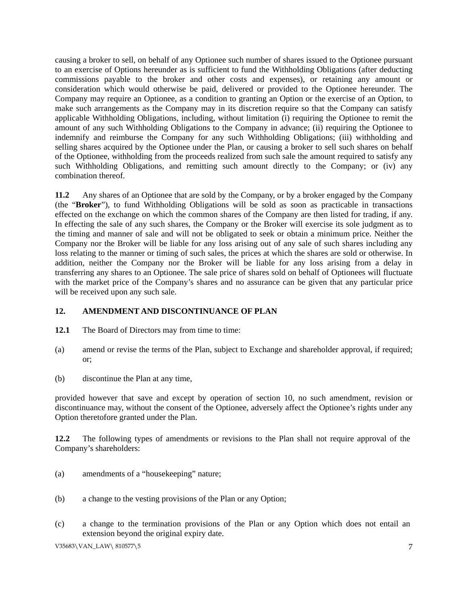causing a broker to sell, on behalf of any Optionee such number of shares issued to the Optionee pursuant to an exercise of Options hereunder as is sufficient to fund the Withholding Obligations (after deducting commissions payable to the broker and other costs and expenses), or retaining any amount or consideration which would otherwise be paid, delivered or provided to the Optionee hereunder. The Company may require an Optionee, as a condition to granting an Option or the exercise of an Option, to make such arrangements as the Company may in its discretion require so that the Company can satisfy applicable Withholding Obligations, including, without limitation (i) requiring the Optionee to remit the amount of any such Withholding Obligations to the Company in advance; (ii) requiring the Optionee to indemnify and reimburse the Company for any such Withholding Obligations; (iii) withholding and selling shares acquired by the Optionee under the Plan, or causing a broker to sell such shares on behalf of the Optionee, withholding from the proceeds realized from such sale the amount required to satisfy any such Withholding Obligations, and remitting such amount directly to the Company; or (iv) any combination thereof.

**11.2** Any shares of an Optionee that are sold by the Company, or by a broker engaged by the Company (the "**Broker**"), to fund Withholding Obligations will be sold as soon as practicable in transactions effected on the exchange on which the common shares of the Company are then listed for trading, if any. In effecting the sale of any such shares, the Company or the Broker will exercise its sole judgment as to the timing and manner of sale and will not be obligated to seek or obtain a minimum price. Neither the Company nor the Broker will be liable for any loss arising out of any sale of such shares including any loss relating to the manner or timing of such sales, the prices at which the shares are sold or otherwise. In addition, neither the Company nor the Broker will be liable for any loss arising from a delay in transferring any shares to an Optionee. The sale price of shares sold on behalf of Optionees will fluctuate with the market price of the Company's shares and no assurance can be given that any particular price will be received upon any such sale.

# **12. AMENDMENT AND DISCONTINUANCE OF PLAN**

- **12.1** The Board of Directors may from time to time:
- (a) amend or revise the terms of the Plan, subject to Exchange and shareholder approval, if required; or;
- (b) discontinue the Plan at any time,

provided however that save and except by operation of section 10, no such amendment, revision or discontinuance may, without the consent of the Optionee, adversely affect the Optionee's rights under any Option theretofore granted under the Plan.

**12.2** The following types of amendments or revisions to the Plan shall not require approval of the Company's shareholders:

- (a) amendments of a "housekeeping" nature;
- (b) a change to the vesting provisions of the Plan or any Option;
- (c) a change to the termination provisions of the Plan or any Option which does not entail an extension beyond the original expiry date.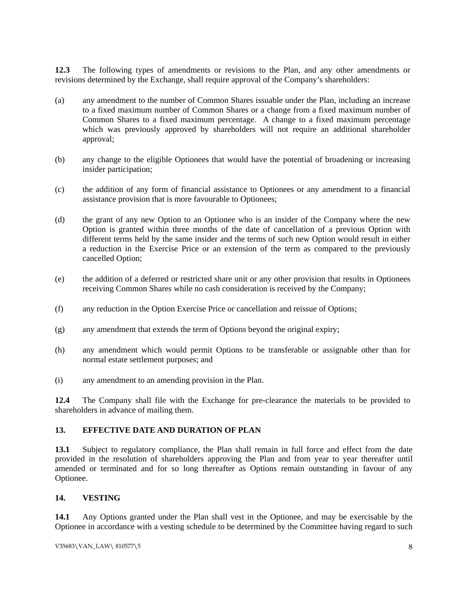**12.3** The following types of amendments or revisions to the Plan, and any other amendments or revisions determined by the Exchange, shall require approval of the Company's shareholders:

- (a) any amendment to the number of Common Shares issuable under the Plan, including an increase to a fixed maximum number of Common Shares or a change from a fixed maximum number of Common Shares to a fixed maximum percentage. A change to a fixed maximum percentage which was previously approved by shareholders will not require an additional shareholder approval;
- (b) any change to the eligible Optionees that would have the potential of broadening or increasing insider participation;
- (c) the addition of any form of financial assistance to Optionees or any amendment to a financial assistance provision that is more favourable to Optionees;
- (d) the grant of any new Option to an Optionee who is an insider of the Company where the new Option is granted within three months of the date of cancellation of a previous Option with different terms held by the same insider and the terms of such new Option would result in either a reduction in the Exercise Price or an extension of the term as compared to the previously cancelled Option;
- (e) the addition of a deferred or restricted share unit or any other provision that results in Optionees receiving Common Shares while no cash consideration is received by the Company;
- (f) any reduction in the Option Exercise Price or cancellation and reissue of Options;
- (g) any amendment that extends the term of Options beyond the original expiry;
- (h) any amendment which would permit Options to be transferable or assignable other than for normal estate settlement purposes; and
- (i) any amendment to an amending provision in the Plan.

**12.4** The Company shall file with the Exchange for pre-clearance the materials to be provided to shareholders in advance of mailing them.

#### **13. EFFECTIVE DATE AND DURATION OF PLAN**

**13.1** Subject to regulatory compliance, the Plan shall remain in full force and effect from the date provided in the resolution of shareholders approving the Plan and from year to year thereafter until amended or terminated and for so long thereafter as Options remain outstanding in favour of any Optionee.

### **14. VESTING**

**14.1** Any Options granted under the Plan shall vest in the Optionee, and may be exercisable by the Optionee in accordance with a vesting schedule to be determined by the Committee having regard to such